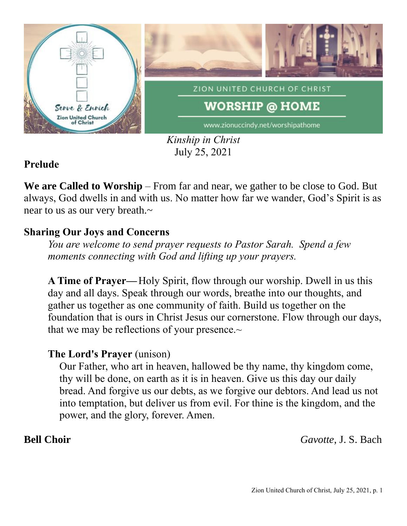

*Kinship in Christ* July 25, 2021

## **Prelude**

**We are Called to Worship** – From far and near, we gather to be close to God. But always, God dwells in and with us. No matter how far we wander, God's Spirit is as near to us as our very breath.~

## **Sharing Our Joys and Concerns**

*You are welcome to send prayer requests to Pastor Sarah. Spend a few moments connecting with God and lifting up your prayers.*

**A Time of Prayer—**Holy Spirit, flow through our worship. Dwell in us this day and all days. Speak through our words, breathe into our thoughts, and gather us together as one community of faith. Build us together on the foundation that is ours in Christ Jesus our cornerstone. Flow through our days, that we may be reflections of your presence. $\sim$ 

### **The Lord's Prayer** (unison)

Our Father, who art in heaven, hallowed be thy name, thy kingdom come, thy will be done, on earth as it is in heaven. Give us this day our daily bread. And forgive us our debts, as we forgive our debtors. And lead us not into temptation, but deliver us from evil. For thine is the kingdom, and the power, and the glory, forever. Amen.

**Bell Choir** *Gavotte*, J. S. Bach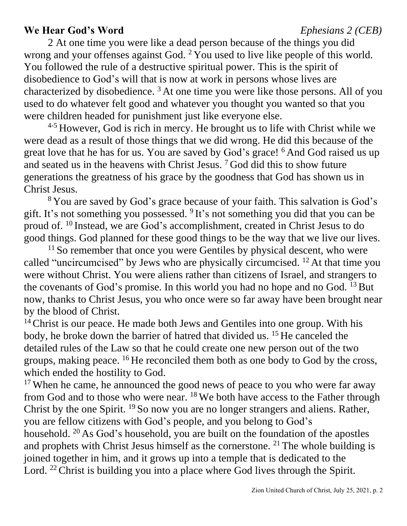### **We Hear God's Word** *Ephesians 2 (CEB)*

2 At one time you were like a dead person because of the things you did wrong and your offenses against God.  $2$  You used to live like people of this world. You followed the rule of a destructive spiritual power. This is the spirit of disobedience to God's will that is now at work in persons whose lives are characterized by disobedience.  $3$  At one time you were like those persons. All of you used to do whatever felt good and whatever you thought you wanted so that you were children headed for punishment just like everyone else.

<sup>4-5</sup> However, God is rich in mercy. He brought us to life with Christ while we were dead as a result of those things that we did wrong. He did this because of the great love that he has for us. You are saved by God's grace! <sup>6</sup> And God raised us up and seated us in the heavens with Christ Jesus.  $7 \text{ God did this to show future}$ generations the greatness of his grace by the goodness that God has shown us in Christ Jesus.

<sup>8</sup> You are saved by God's grace because of your faith. This salvation is God's gift. It's not something you possessed. <sup>9</sup>It's not something you did that you can be proud of. <sup>10</sup> Instead, we are God's accomplishment, created in Christ Jesus to do good things. God planned for these good things to be the way that we live our lives.

<sup>11</sup> So remember that once you were Gentiles by physical descent, who were called "uncircumcised" by Jews who are physically circumcised.  $^{12}$  At that time you were without Christ. You were aliens rather than citizens of Israel, and strangers to the covenants of God's promise. In this world you had no hope and no God.  $^{13}$  But now, thanks to Christ Jesus, you who once were so far away have been brought near by the blood of Christ.

<sup>14</sup> Christ is our peace. He made both Jews and Gentiles into one group. With his body, he broke down the barrier of hatred that divided us. <sup>15</sup> He canceled the detailed rules of the Law so that he could create one new person out of the two groups, making peace.  $^{16}$  He reconciled them both as one body to God by the cross, which ended the hostility to God.

<sup>17</sup> When he came, he announced the good news of peace to you who were far away from God and to those who were near. <sup>18</sup> We both have access to the Father through Christ by the one Spirit. <sup>19</sup> So now you are no longer strangers and aliens. Rather, you are fellow citizens with God's people, and you belong to God's household. <sup>20</sup> As God's household, you are built on the foundation of the apostles and prophets with Christ Jesus himself as the cornerstone.  $2<sup>1</sup>$  The whole building is joined together in him, and it grows up into a temple that is dedicated to the Lord. <sup>22</sup> Christ is building you into a place where God lives through the Spirit.